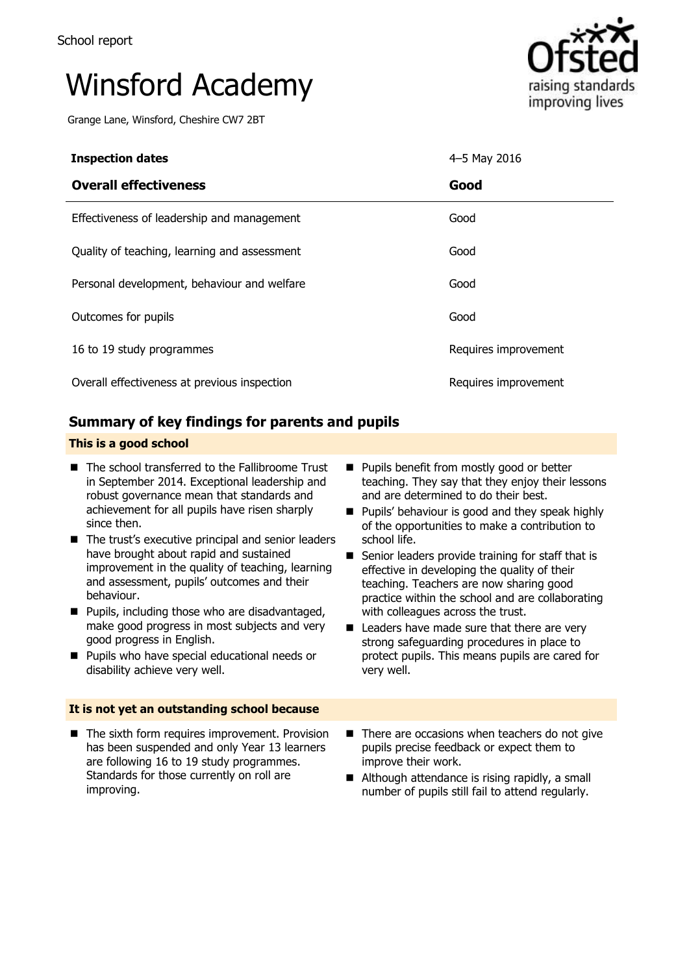# Winsford Academy

Grange Lane, Winsford, Cheshire CW7 2BT



| <b>Inspection dates</b>                      | 4-5 May 2016         |
|----------------------------------------------|----------------------|
| <b>Overall effectiveness</b>                 | Good                 |
| Effectiveness of leadership and management   | Good                 |
| Quality of teaching, learning and assessment | Good                 |
| Personal development, behaviour and welfare  | Good                 |
| Outcomes for pupils                          | Good                 |
| 16 to 19 study programmes                    | Requires improvement |
| Overall effectiveness at previous inspection | Requires improvement |

# **Summary of key findings for parents and pupils**

### **This is a good school**

- The school transferred to the Fallibroome Trust in September 2014. Exceptional leadership and robust governance mean that standards and achievement for all pupils have risen sharply since then.
- The trust's executive principal and senior leaders have brought about rapid and sustained improvement in the quality of teaching, learning and assessment, pupils' outcomes and their behaviour.
- **Pupils, including those who are disadvantaged,** make good progress in most subjects and very good progress in English.
- **Pupils who have special educational needs or** disability achieve very well.

#### **It is not yet an outstanding school because**

■ The sixth form requires improvement. Provision has been suspended and only Year 13 learners are following 16 to 19 study programmes. Standards for those currently on roll are improving.

- **Pupils benefit from mostly good or better** teaching. They say that they enjoy their lessons and are determined to do their best.
- **Pupils' behaviour is good and they speak highly** of the opportunities to make a contribution to school life.
- Senior leaders provide training for staff that is effective in developing the quality of their teaching. Teachers are now sharing good practice within the school and are collaborating with colleagues across the trust.
- Leaders have made sure that there are very strong safeguarding procedures in place to protect pupils. This means pupils are cared for very well.
- $\blacksquare$  There are occasions when teachers do not give pupils precise feedback or expect them to improve their work.
- Although attendance is rising rapidly, a small number of pupils still fail to attend regularly.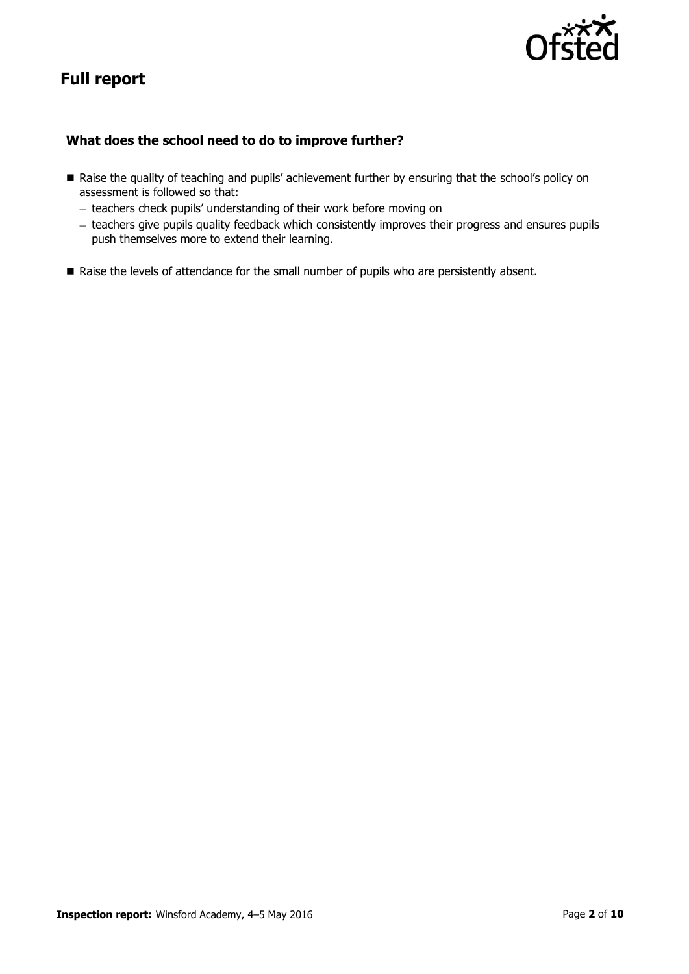# **Full report**

## **What does the school need to do to improve further?**

- Raise the quality of teaching and pupils' achievement further by ensuring that the school's policy on assessment is followed so that:
	- teachers check pupils' understanding of their work before moving on
	- teachers give pupils quality feedback which consistently improves their progress and ensures pupils push themselves more to extend their learning.
- Raise the levels of attendance for the small number of pupils who are persistently absent.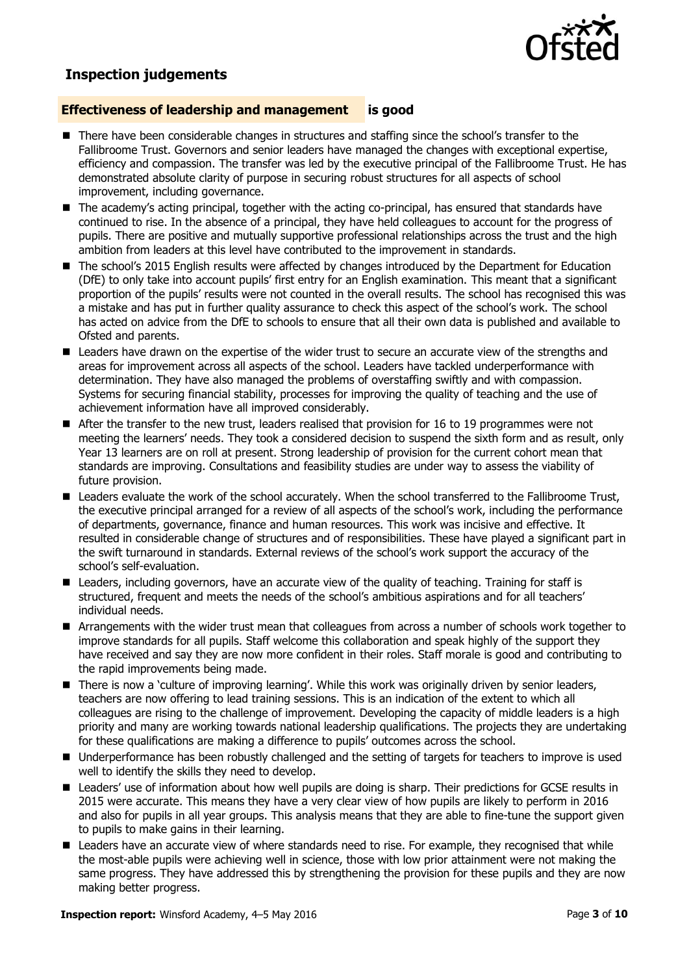

# **Inspection judgements**

#### **Effectiveness of leadership and management is good**

- There have been considerable changes in structures and staffing since the school's transfer to the Fallibroome Trust. Governors and senior leaders have managed the changes with exceptional expertise, efficiency and compassion. The transfer was led by the executive principal of the Fallibroome Trust. He has demonstrated absolute clarity of purpose in securing robust structures for all aspects of school improvement, including governance.
- The academy's acting principal, together with the acting co-principal, has ensured that standards have continued to rise. In the absence of a principal, they have held colleagues to account for the progress of pupils. There are positive and mutually supportive professional relationships across the trust and the high ambition from leaders at this level have contributed to the improvement in standards.
- The school's 2015 English results were affected by changes introduced by the Department for Education (DfE) to only take into account pupils' first entry for an English examination. This meant that a significant proportion of the pupils' results were not counted in the overall results. The school has recognised this was a mistake and has put in further quality assurance to check this aspect of the school's work. The school has acted on advice from the DfE to schools to ensure that all their own data is published and available to Ofsted and parents.
- **E** Leaders have drawn on the expertise of the wider trust to secure an accurate view of the strengths and areas for improvement across all aspects of the school. Leaders have tackled underperformance with determination. They have also managed the problems of overstaffing swiftly and with compassion. Systems for securing financial stability, processes for improving the quality of teaching and the use of achievement information have all improved considerably.
- After the transfer to the new trust, leaders realised that provision for 16 to 19 programmes were not meeting the learners' needs. They took a considered decision to suspend the sixth form and as result, only Year 13 learners are on roll at present. Strong leadership of provision for the current cohort mean that standards are improving. Consultations and feasibility studies are under way to assess the viability of future provision.
- Leaders evaluate the work of the school accurately. When the school transferred to the Fallibroome Trust, the executive principal arranged for a review of all aspects of the school's work, including the performance of departments, governance, finance and human resources. This work was incisive and effective. It resulted in considerable change of structures and of responsibilities. These have played a significant part in the swift turnaround in standards. External reviews of the school's work support the accuracy of the school's self-evaluation.
- Leaders, including governors, have an accurate view of the quality of teaching. Training for staff is structured, frequent and meets the needs of the school's ambitious aspirations and for all teachers' individual needs.
- Arrangements with the wider trust mean that colleagues from across a number of schools work together to improve standards for all pupils. Staff welcome this collaboration and speak highly of the support they have received and say they are now more confident in their roles. Staff morale is good and contributing to the rapid improvements being made.
- There is now a 'culture of improving learning'. While this work was originally driven by senior leaders, teachers are now offering to lead training sessions. This is an indication of the extent to which all colleagues are rising to the challenge of improvement. Developing the capacity of middle leaders is a high priority and many are working towards national leadership qualifications. The projects they are undertaking for these qualifications are making a difference to pupils' outcomes across the school.
- Underperformance has been robustly challenged and the setting of targets for teachers to improve is used well to identify the skills they need to develop.
- Leaders' use of information about how well pupils are doing is sharp. Their predictions for GCSE results in 2015 were accurate. This means they have a very clear view of how pupils are likely to perform in 2016 and also for pupils in all year groups. This analysis means that they are able to fine-tune the support given to pupils to make gains in their learning.
- **E** Leaders have an accurate view of where standards need to rise. For example, they recognised that while the most-able pupils were achieving well in science, those with low prior attainment were not making the same progress. They have addressed this by strengthening the provision for these pupils and they are now making better progress.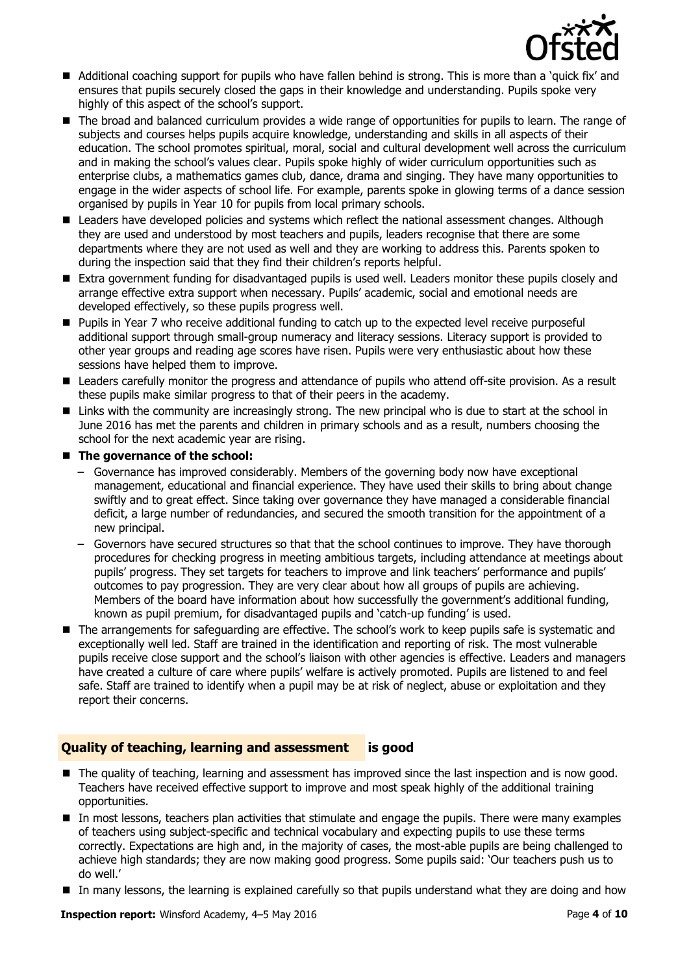

- Additional coaching support for pupils who have fallen behind is strong. This is more than a 'quick fix' and ensures that pupils securely closed the gaps in their knowledge and understanding. Pupils spoke very highly of this aspect of the school's support.
- The broad and balanced curriculum provides a wide range of opportunities for pupils to learn. The range of subjects and courses helps pupils acquire knowledge, understanding and skills in all aspects of their education. The school promotes spiritual, moral, social and cultural development well across the curriculum and in making the school's values clear. Pupils spoke highly of wider curriculum opportunities such as enterprise clubs, a mathematics games club, dance, drama and singing. They have many opportunities to engage in the wider aspects of school life. For example, parents spoke in glowing terms of a dance session organised by pupils in Year 10 for pupils from local primary schools.
- Leaders have developed policies and systems which reflect the national assessment changes. Although they are used and understood by most teachers and pupils, leaders recognise that there are some departments where they are not used as well and they are working to address this. Parents spoken to during the inspection said that they find their children's reports helpful.
- Extra government funding for disadvantaged pupils is used well. Leaders monitor these pupils closely and arrange effective extra support when necessary. Pupils' academic, social and emotional needs are developed effectively, so these pupils progress well.
- **Pupils in Year 7 who receive additional funding to catch up to the expected level receive purposeful** additional support through small-group numeracy and literacy sessions. Literacy support is provided to other year groups and reading age scores have risen. Pupils were very enthusiastic about how these sessions have helped them to improve.
- Leaders carefully monitor the progress and attendance of pupils who attend off-site provision. As a result these pupils make similar progress to that of their peers in the academy.
- Links with the community are increasingly strong. The new principal who is due to start at the school in June 2016 has met the parents and children in primary schools and as a result, numbers choosing the school for the next academic year are rising.

#### ■ The governance of the school:

- Governance has improved considerably. Members of the governing body now have exceptional management, educational and financial experience. They have used their skills to bring about change swiftly and to great effect. Since taking over governance they have managed a considerable financial deficit, a large number of redundancies, and secured the smooth transition for the appointment of a new principal.
- Governors have secured structures so that that the school continues to improve. They have thorough procedures for checking progress in meeting ambitious targets, including attendance at meetings about pupils' progress. They set targets for teachers to improve and link teachers' performance and pupils' outcomes to pay progression. They are very clear about how all groups of pupils are achieving. Members of the board have information about how successfully the government's additional funding, known as pupil premium, for disadvantaged pupils and 'catch-up funding' is used.
- The arrangements for safeguarding are effective. The school's work to keep pupils safe is systematic and exceptionally well led. Staff are trained in the identification and reporting of risk. The most vulnerable pupils receive close support and the school's liaison with other agencies is effective. Leaders and managers have created a culture of care where pupils' welfare is actively promoted. Pupils are listened to and feel safe. Staff are trained to identify when a pupil may be at risk of neglect, abuse or exploitation and they report their concerns.

### **Quality of teaching, learning and assessment is good**

- The quality of teaching, learning and assessment has improved since the last inspection and is now good. Teachers have received effective support to improve and most speak highly of the additional training opportunities.
- In most lessons, teachers plan activities that stimulate and engage the pupils. There were many examples of teachers using subject-specific and technical vocabulary and expecting pupils to use these terms correctly. Expectations are high and, in the majority of cases, the most-able pupils are being challenged to achieve high standards; they are now making good progress. Some pupils said: 'Our teachers push us to do well.'
- In many lessons, the learning is explained carefully so that pupils understand what they are doing and how

**Inspection report:** Winsford Academy, 4–5 May 2016 **Page 4** of **10** Page 4 of 10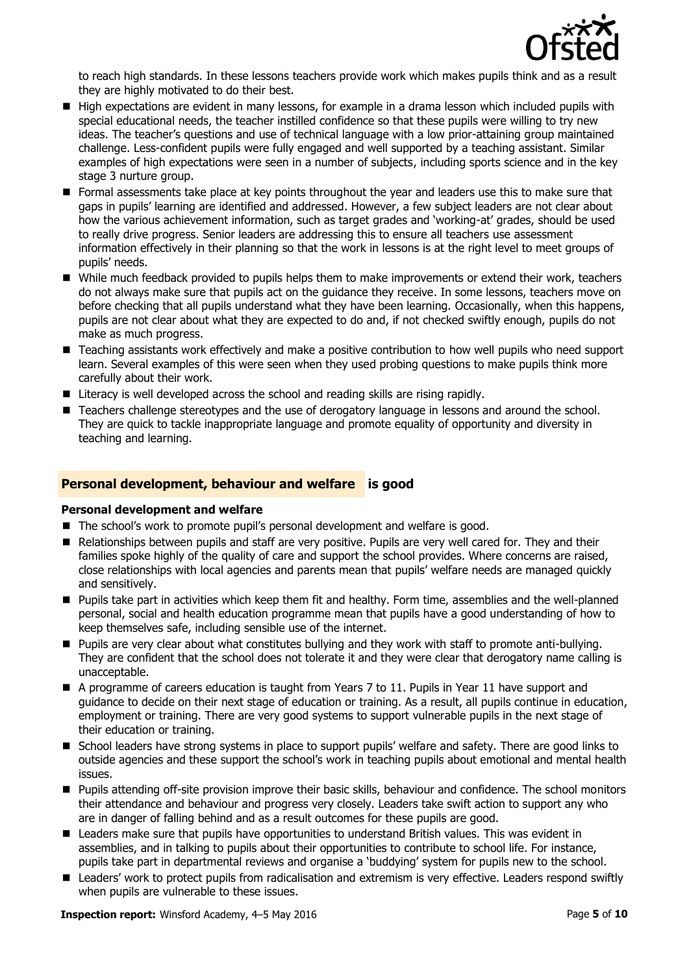

to reach high standards. In these lessons teachers provide work which makes pupils think and as a result they are highly motivated to do their best.

- High expectations are evident in many lessons, for example in a drama lesson which included pupils with special educational needs, the teacher instilled confidence so that these pupils were willing to try new ideas. The teacher's questions and use of technical language with a low prior-attaining group maintained challenge. Less-confident pupils were fully engaged and well supported by a teaching assistant. Similar examples of high expectations were seen in a number of subjects, including sports science and in the key stage 3 nurture group.
- **F** Formal assessments take place at key points throughout the year and leaders use this to make sure that gaps in pupils' learning are identified and addressed. However, a few subject leaders are not clear about how the various achievement information, such as target grades and 'working-at' grades, should be used to really drive progress. Senior leaders are addressing this to ensure all teachers use assessment information effectively in their planning so that the work in lessons is at the right level to meet groups of pupils' needs.
- While much feedback provided to pupils helps them to make improvements or extend their work, teachers do not always make sure that pupils act on the guidance they receive. In some lessons, teachers move on before checking that all pupils understand what they have been learning. Occasionally, when this happens, pupils are not clear about what they are expected to do and, if not checked swiftly enough, pupils do not make as much progress.
- Teaching assistants work effectively and make a positive contribution to how well pupils who need support learn. Several examples of this were seen when they used probing questions to make pupils think more carefully about their work.
- Literacy is well developed across the school and reading skills are rising rapidly.
- Teachers challenge stereotypes and the use of derogatory language in lessons and around the school. They are quick to tackle inappropriate language and promote equality of opportunity and diversity in teaching and learning.

#### **Personal development, behaviour and welfare is good**

#### **Personal development and welfare**

- The school's work to promote pupil's personal development and welfare is good.
- Relationships between pupils and staff are very positive. Pupils are very well cared for. They and their families spoke highly of the quality of care and support the school provides. Where concerns are raised, close relationships with local agencies and parents mean that pupils' welfare needs are managed quickly and sensitively.
- Pupils take part in activities which keep them fit and healthy. Form time, assemblies and the well-planned personal, social and health education programme mean that pupils have a good understanding of how to keep themselves safe, including sensible use of the internet.
- Pupils are very clear about what constitutes bullying and they work with staff to promote anti-bullying. They are confident that the school does not tolerate it and they were clear that derogatory name calling is unacceptable.
- A programme of careers education is taught from Years 7 to 11. Pupils in Year 11 have support and guidance to decide on their next stage of education or training. As a result, all pupils continue in education, employment or training. There are very good systems to support vulnerable pupils in the next stage of their education or training.
- School leaders have strong systems in place to support pupils' welfare and safety. There are good links to outside agencies and these support the school's work in teaching pupils about emotional and mental health issues.
- **Pupils attending off-site provision improve their basic skills, behaviour and confidence. The school monitors** their attendance and behaviour and progress very closely. Leaders take swift action to support any who are in danger of falling behind and as a result outcomes for these pupils are good.
- Leaders make sure that pupils have opportunities to understand British values. This was evident in assemblies, and in talking to pupils about their opportunities to contribute to school life. For instance, pupils take part in departmental reviews and organise a 'buddying' system for pupils new to the school.
- Leaders' work to protect pupils from radicalisation and extremism is very effective. Leaders respond swiftly when pupils are vulnerable to these issues.

**Inspection report:** Winsford Academy, 4–5 May 2016 **Page 1 and Academy** Page 5 of 10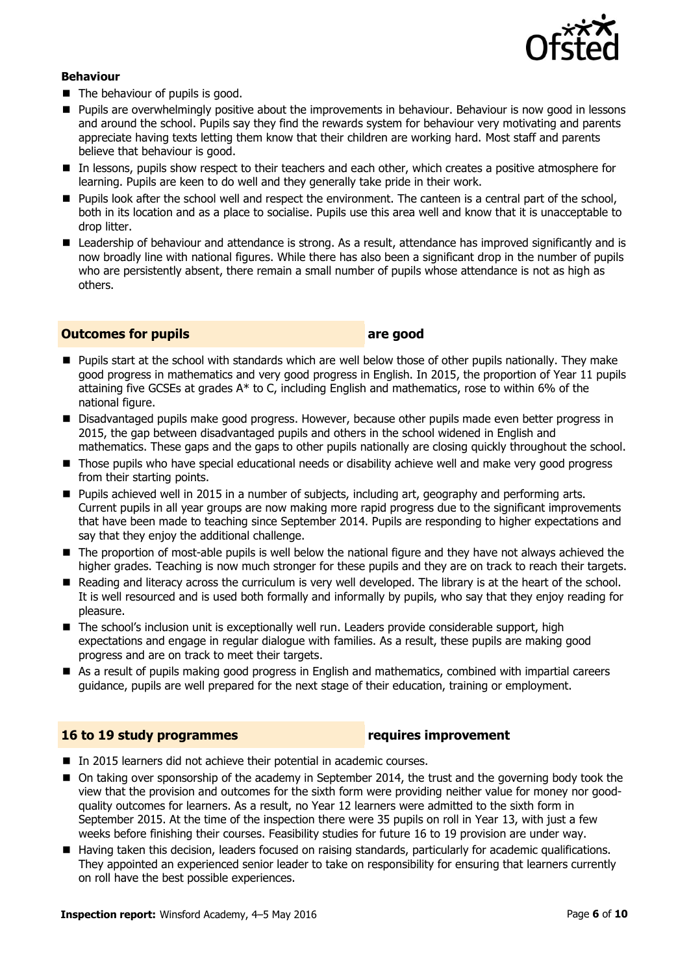

#### **Behaviour**

- The behaviour of pupils is good.
- **Pupils are overwhelmingly positive about the improvements in behaviour. Behaviour is now good in lessons** and around the school. Pupils say they find the rewards system for behaviour very motivating and parents appreciate having texts letting them know that their children are working hard. Most staff and parents believe that behaviour is good.
- In lessons, pupils show respect to their teachers and each other, which creates a positive atmosphere for learning. Pupils are keen to do well and they generally take pride in their work.
- **Pupils look after the school well and respect the environment. The canteen is a central part of the school,** both in its location and as a place to socialise. Pupils use this area well and know that it is unacceptable to drop litter.
- Leadership of behaviour and attendance is strong. As a result, attendance has improved significantly and is now broadly line with national figures. While there has also been a significant drop in the number of pupils who are persistently absent, there remain a small number of pupils whose attendance is not as high as others.

#### **Outcomes for pupils are good**

- Pupils start at the school with standards which are well below those of other pupils nationally. They make good progress in mathematics and very good progress in English. In 2015, the proportion of Year 11 pupils attaining five GCSEs at grades A\* to C, including English and mathematics, rose to within 6% of the national figure.
- **Disadvantaged pupils make good progress. However, because other pupils made even better progress in** 2015, the gap between disadvantaged pupils and others in the school widened in English and mathematics. These gaps and the gaps to other pupils nationally are closing quickly throughout the school.
- **Those pupils who have special educational needs or disability achieve well and make very good progress** from their starting points.
- **Pupils achieved well in 2015 in a number of subjects, including art, geography and performing arts.** Current pupils in all year groups are now making more rapid progress due to the significant improvements that have been made to teaching since September 2014. Pupils are responding to higher expectations and say that they enjoy the additional challenge.
- The proportion of most-able pupils is well below the national figure and they have not always achieved the higher grades. Teaching is now much stronger for these pupils and they are on track to reach their targets.
- Reading and literacy across the curriculum is very well developed. The library is at the heart of the school. It is well resourced and is used both formally and informally by pupils, who say that they enjoy reading for pleasure.
- The school's inclusion unit is exceptionally well run. Leaders provide considerable support, high expectations and engage in regular dialogue with families. As a result, these pupils are making good progress and are on track to meet their targets.
- As a result of pupils making good progress in English and mathematics, combined with impartial careers guidance, pupils are well prepared for the next stage of their education, training or employment.

### **16 to 19 study programmes requires improvement**

- In 2015 learners did not achieve their potential in academic courses.
- On taking over sponsorship of the academy in September 2014, the trust and the governing body took the view that the provision and outcomes for the sixth form were providing neither value for money nor goodquality outcomes for learners. As a result, no Year 12 learners were admitted to the sixth form in September 2015. At the time of the inspection there were 35 pupils on roll in Year 13, with just a few weeks before finishing their courses. Feasibility studies for future 16 to 19 provision are under way.
- Having taken this decision, leaders focused on raising standards, particularly for academic qualifications. They appointed an experienced senior leader to take on responsibility for ensuring that learners currently on roll have the best possible experiences.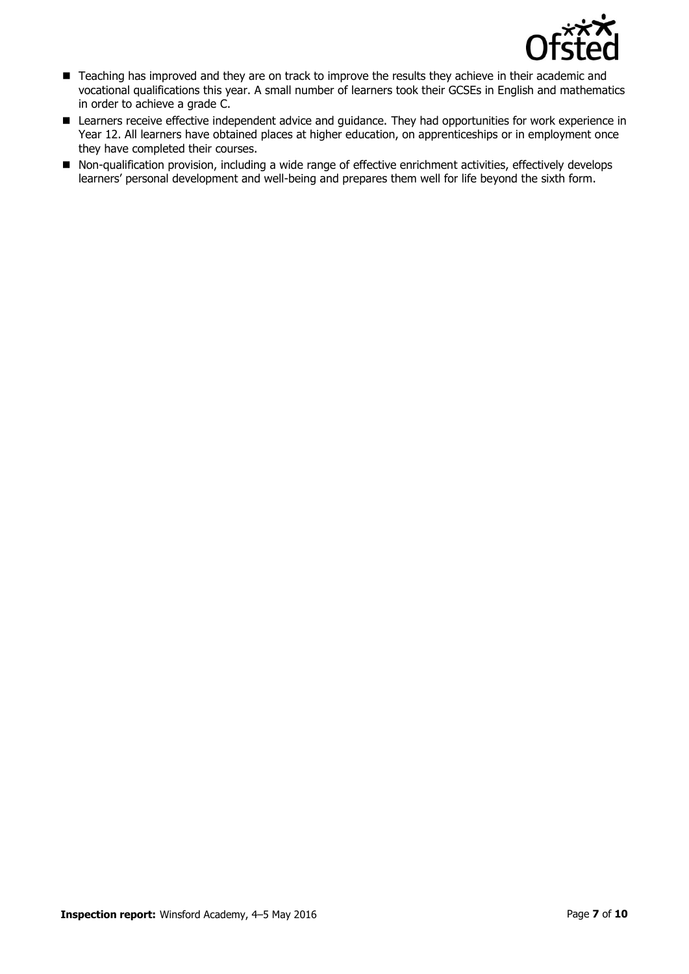

- Teaching has improved and they are on track to improve the results they achieve in their academic and vocational qualifications this year. A small number of learners took their GCSEs in English and mathematics in order to achieve a grade C.
- Learners receive effective independent advice and guidance. They had opportunities for work experience in Year 12. All learners have obtained places at higher education, on apprenticeships or in employment once they have completed their courses.
- Non-qualification provision, including a wide range of effective enrichment activities, effectively develops learners' personal development and well-being and prepares them well for life beyond the sixth form.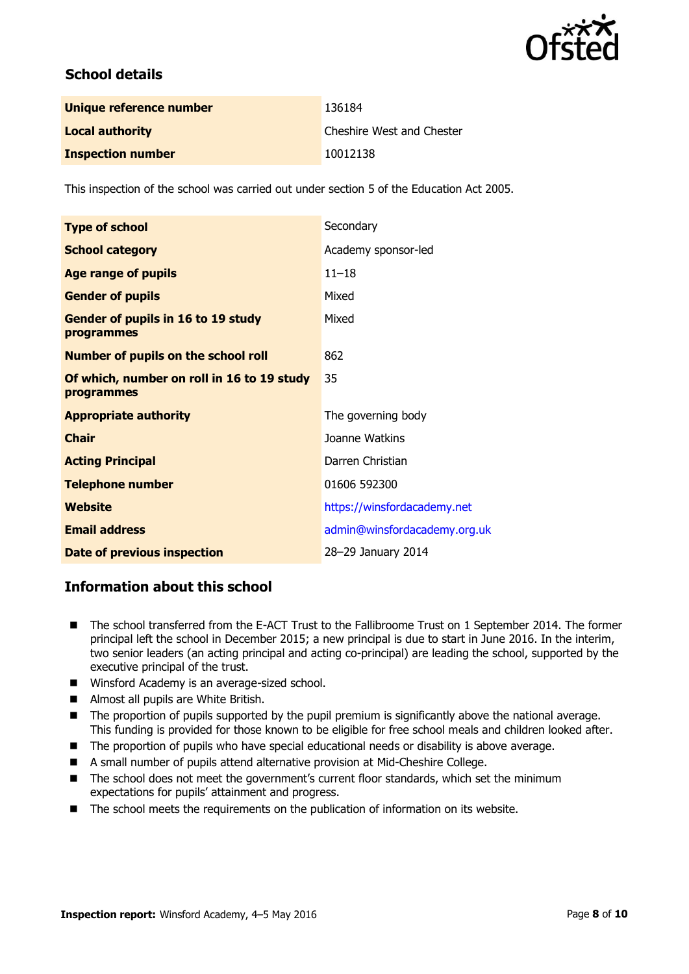

# **School details**

| Unique reference number  | 136184                    |
|--------------------------|---------------------------|
| <b>Local authority</b>   | Cheshire West and Chester |
| <b>Inspection number</b> | 10012138                  |

This inspection of the school was carried out under section 5 of the Education Act 2005.

| <b>Type of school</b>                                    | Secondary                    |
|----------------------------------------------------------|------------------------------|
| <b>School category</b>                                   | Academy sponsor-led          |
| <b>Age range of pupils</b>                               | $11 - 18$                    |
| <b>Gender of pupils</b>                                  | Mixed                        |
| <b>Gender of pupils in 16 to 19 study</b><br>programmes  | Mixed                        |
| <b>Number of pupils on the school roll</b>               | 862                          |
| Of which, number on roll in 16 to 19 study<br>programmes | 35                           |
| <b>Appropriate authority</b>                             | The governing body           |
| <b>Chair</b>                                             | Joanne Watkins               |
| <b>Acting Principal</b>                                  | Darren Christian             |
| <b>Telephone number</b>                                  | 01606 592300                 |
| Website                                                  | https://winsfordacademy.net  |
| <b>Email address</b>                                     | admin@winsfordacademy.org.uk |
| <b>Date of previous inspection</b>                       | 28-29 January 2014           |

# **Information about this school**

- The school transferred from the E-ACT Trust to the Fallibroome Trust on 1 September 2014. The former principal left the school in December 2015; a new principal is due to start in June 2016. In the interim, two senior leaders (an acting principal and acting co-principal) are leading the school, supported by the executive principal of the trust.
- Winsford Academy is an average-sized school.
- Almost all pupils are White British.
- The proportion of pupils supported by the pupil premium is significantly above the national average. This funding is provided for those known to be eligible for free school meals and children looked after.
- The proportion of pupils who have special educational needs or disability is above average.
- A small number of pupils attend alternative provision at Mid-Cheshire College.
- The school does not meet the government's current floor standards, which set the minimum expectations for pupils' attainment and progress.
- The school meets the requirements on the publication of information on its website.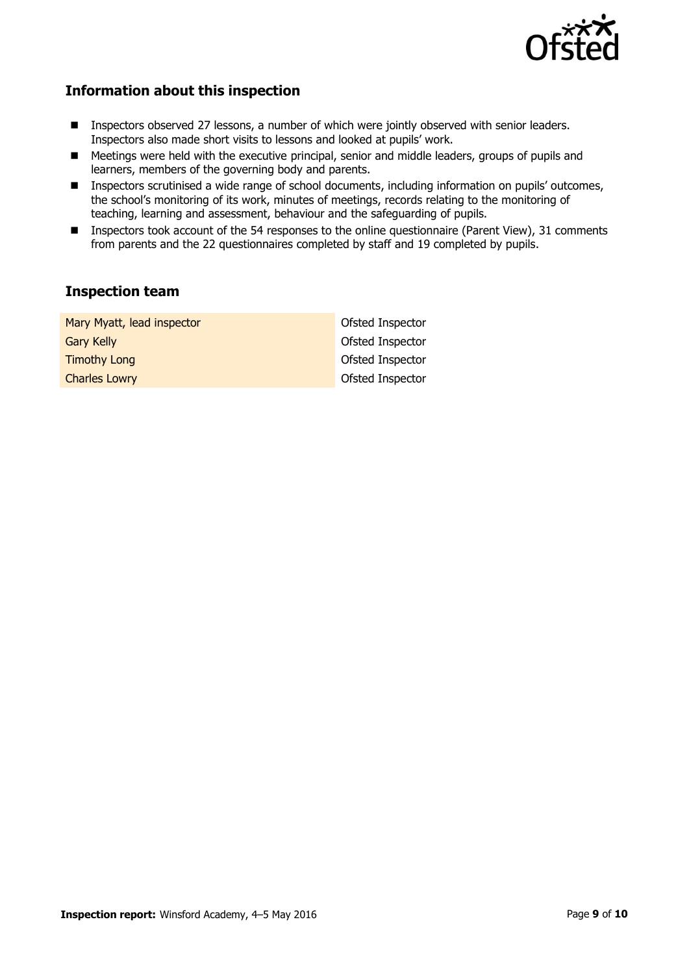

# **Information about this inspection**

- **Inspectors observed 27 lessons, a number of which were jointly observed with senior leaders.** Inspectors also made short visits to lessons and looked at pupils' work.
- Meetings were held with the executive principal, senior and middle leaders, groups of pupils and learners, members of the governing body and parents.
- Inspectors scrutinised a wide range of school documents, including information on pupils' outcomes, the school's monitoring of its work, minutes of meetings, records relating to the monitoring of teaching, learning and assessment, behaviour and the safeguarding of pupils.
- Inspectors took account of the 54 responses to the online questionnaire (Parent View), 31 comments from parents and the 22 questionnaires completed by staff and 19 completed by pupils.

# **Inspection team**

| Mary Myatt, lead inspector | Ofsted Inspector |
|----------------------------|------------------|
| <b>Gary Kelly</b>          | Ofsted Inspector |
| <b>Timothy Long</b>        | Ofsted Inspector |
| <b>Charles Lowry</b>       | Ofsted Inspector |